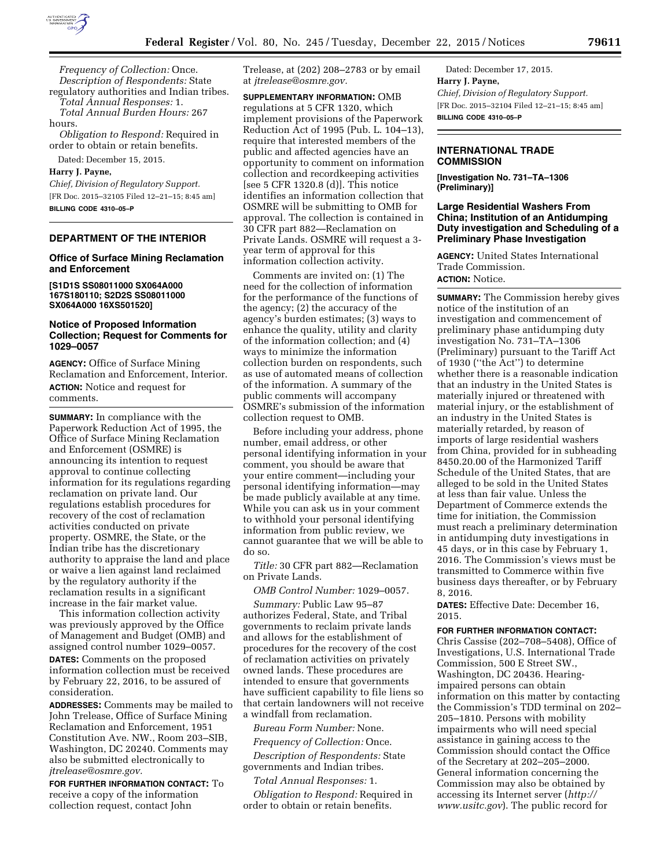

*Frequency of Collection:* Once. *Description of Respondents:* State

regulatory authorities and Indian tribes. *Total Annual Responses:* 1.

*Total Annual Burden Hours:* 267 hours.

*Obligation to Respond:* Required in order to obtain or retain benefits.

# Dated: December 15, 2015.

**Harry J. Payne,** 

*Chief, Division of Regulatory Support.*  [FR Doc. 2015–32105 Filed 12–21–15; 8:45 am] **BILLING CODE 4310–05–P** 

#### **DEPARTMENT OF THE INTERIOR**

#### **Office of Surface Mining Reclamation and Enforcement**

**[S1D1S SS08011000 SX064A000 167S180110; S2D2S SS08011000 SX064A000 16XS501520]** 

# **Notice of Proposed Information Collection; Request for Comments for 1029–0057**

**AGENCY:** Office of Surface Mining Reclamation and Enforcement, Interior. **ACTION:** Notice and request for comments.

**SUMMARY:** In compliance with the Paperwork Reduction Act of 1995, the Office of Surface Mining Reclamation and Enforcement (OSMRE) is announcing its intention to request approval to continue collecting information for its regulations regarding reclamation on private land. Our regulations establish procedures for recovery of the cost of reclamation activities conducted on private property. OSMRE, the State, or the Indian tribe has the discretionary authority to appraise the land and place or waive a lien against land reclaimed by the regulatory authority if the reclamation results in a significant increase in the fair market value.

This information collection activity was previously approved by the Office of Management and Budget (OMB) and assigned control number 1029–0057.

**DATES:** Comments on the proposed information collection must be received by February 22, 2016, to be assured of consideration.

**ADDRESSES:** Comments may be mailed to John Trelease, Office of Surface Mining Reclamation and Enforcement, 1951 Constitution Ave. NW., Room 203–SIB, Washington, DC 20240. Comments may also be submitted electronically to *[jtrelease@osmre.gov.](mailto:jtrelease@osmre.gov)* 

**FOR FURTHER INFORMATION CONTACT:** To receive a copy of the information collection request, contact John

Trelease, at (202) 208–2783 or by email at *[jtrelease@osmre.gov.](mailto:jtrelease@osmre.gov)* 

**SUPPLEMENTARY INFORMATION:** OMB regulations at 5 CFR 1320, which implement provisions of the Paperwork Reduction Act of 1995 (Pub. L. 104–13), require that interested members of the public and affected agencies have an opportunity to comment on information collection and recordkeeping activities [see 5 CFR 1320.8 (d)]. This notice identifies an information collection that OSMRE will be submitting to OMB for approval. The collection is contained in 30 CFR part 882—Reclamation on Private Lands. OSMRE will request a 3 year term of approval for this information collection activity.

Comments are invited on: (1) The need for the collection of information for the performance of the functions of the agency; (2) the accuracy of the agency's burden estimates; (3) ways to enhance the quality, utility and clarity of the information collection; and (4) ways to minimize the information collection burden on respondents, such as use of automated means of collection of the information. A summary of the public comments will accompany OSMRE's submission of the information collection request to OMB.

Before including your address, phone number, email address, or other personal identifying information in your comment, you should be aware that your entire comment—including your personal identifying information—may be made publicly available at any time. While you can ask us in your comment to withhold your personal identifying information from public review, we cannot guarantee that we will be able to do so.

*Title:* 30 CFR part 882—Reclamation on Private Lands.

*OMB Control Number:* 1029–0057.

*Summary:* Public Law 95–87 authorizes Federal, State, and Tribal governments to reclaim private lands and allows for the establishment of procedures for the recovery of the cost of reclamation activities on privately owned lands. These procedures are intended to ensure that governments have sufficient capability to file liens so that certain landowners will not receive a windfall from reclamation.

*Bureau Form Number:* None.

*Frequency of Collection:* Once. *Description of Respondents:* State governments and Indian tribes.

*Total Annual Responses:* 1.

*Obligation to Respond:* Required in order to obtain or retain benefits.

Dated: December 17, 2015. **Harry J. Payne,**  *Chief, Division of Regulatory Support.*  [FR Doc. 2015–32104 Filed 12–21–15; 8:45 am] **BILLING CODE 4310–05–P** 

# **INTERNATIONAL TRADE COMMISSION**

**[Investigation No. 731–TA–1306 (Preliminary)]** 

#### **Large Residential Washers From China; Institution of an Antidumping Duty investigation and Scheduling of a Preliminary Phase Investigation**

**AGENCY:** United States International Trade Commission. **ACTION:** Notice.

**SUMMARY:** The Commission hereby gives notice of the institution of an investigation and commencement of preliminary phase antidumping duty investigation No. 731–TA–1306 (Preliminary) pursuant to the Tariff Act of 1930 (''the Act'') to determine whether there is a reasonable indication that an industry in the United States is materially injured or threatened with material injury, or the establishment of an industry in the United States is materially retarded, by reason of imports of large residential washers from China, provided for in subheading 8450.20.00 of the Harmonized Tariff Schedule of the United States, that are alleged to be sold in the United States at less than fair value. Unless the Department of Commerce extends the time for initiation, the Commission must reach a preliminary determination in antidumping duty investigations in 45 days, or in this case by February 1, 2016. The Commission's views must be transmitted to Commerce within five business days thereafter, or by February 8, 2016.

**DATES:** Effective Date: December 16, 2015.

### **FOR FURTHER INFORMATION CONTACT:**

Chris Cassise (202–708–5408), Office of Investigations, U.S. International Trade Commission, 500 E Street SW., Washington, DC 20436. Hearingimpaired persons can obtain information on this matter by contacting the Commission's TDD terminal on 202– 205–1810. Persons with mobility impairments who will need special assistance in gaining access to the Commission should contact the Office of the Secretary at 202–205–2000. General information concerning the Commission may also be obtained by accessing its Internet server (*[http://](http://www.usitc.gov) [www.usitc.gov](http://www.usitc.gov)*). The public record for